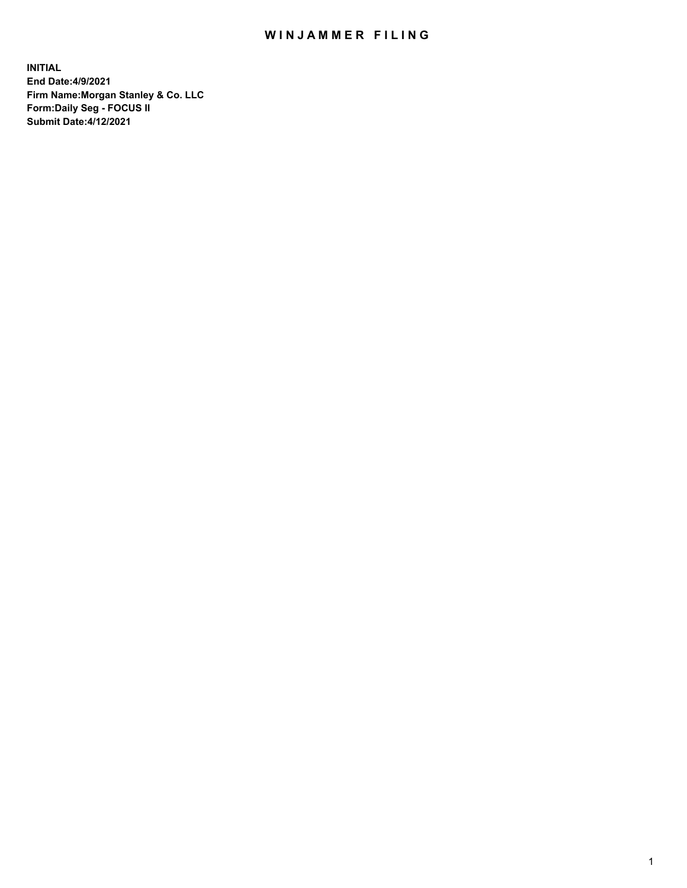## WIN JAMMER FILING

**INITIAL End Date:4/9/2021 Firm Name:Morgan Stanley & Co. LLC Form:Daily Seg - FOCUS II Submit Date:4/12/2021**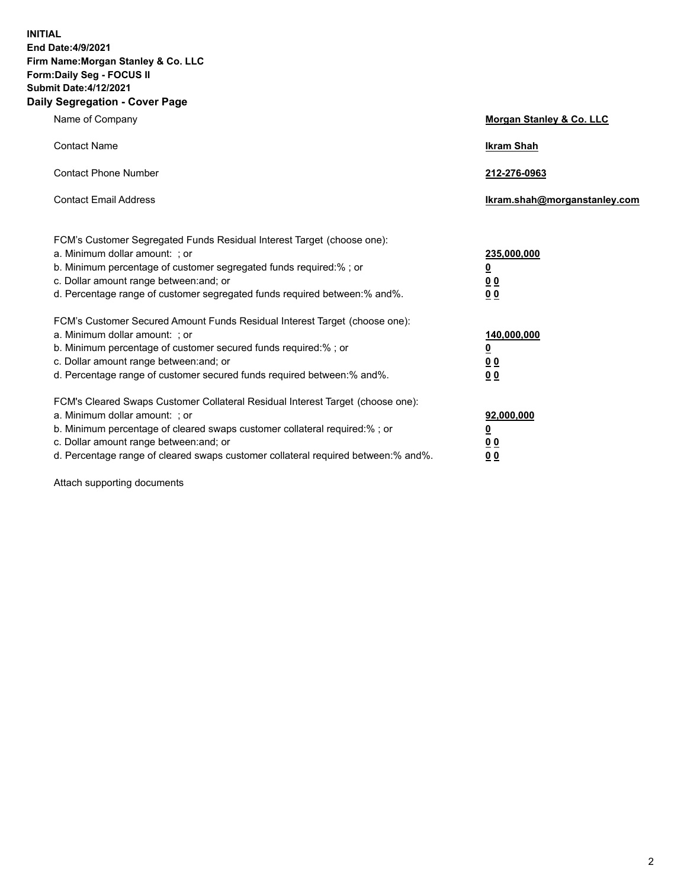**INITIAL End Date:4/9/2021 Firm Name:Morgan Stanley & Co. LLC Form:Daily Seg - FOCUS II Submit Date:4/12/2021 Daily Segregation - Cover Page**

| Name of Company                                                                                                                                                                                                                                                                                                                | Morgan Stanley & Co. LLC                               |
|--------------------------------------------------------------------------------------------------------------------------------------------------------------------------------------------------------------------------------------------------------------------------------------------------------------------------------|--------------------------------------------------------|
| <b>Contact Name</b>                                                                                                                                                                                                                                                                                                            | <b>Ikram Shah</b>                                      |
| <b>Contact Phone Number</b>                                                                                                                                                                                                                                                                                                    | 212-276-0963                                           |
| <b>Contact Email Address</b>                                                                                                                                                                                                                                                                                                   | Ikram.shah@morganstanley.com                           |
| FCM's Customer Segregated Funds Residual Interest Target (choose one):<br>a. Minimum dollar amount: ; or<br>b. Minimum percentage of customer segregated funds required:% ; or<br>c. Dollar amount range between: and; or<br>d. Percentage range of customer segregated funds required between:% and%.                         | 235,000,000<br><u>0</u><br>0 <sup>0</sup><br><u>00</u> |
| FCM's Customer Secured Amount Funds Residual Interest Target (choose one):<br>a. Minimum dollar amount: ; or<br>b. Minimum percentage of customer secured funds required:% ; or<br>c. Dollar amount range between: and; or<br>d. Percentage range of customer secured funds required between:% and%.                           | 140,000,000<br><u>0</u><br><u>00</u><br>00             |
| FCM's Cleared Swaps Customer Collateral Residual Interest Target (choose one):<br>a. Minimum dollar amount: ; or<br>b. Minimum percentage of cleared swaps customer collateral required:% ; or<br>c. Dollar amount range between: and; or<br>d. Percentage range of cleared swaps customer collateral required between:% and%. | 92,000,000<br><u>0</u><br><u>00</u><br>00              |

Attach supporting documents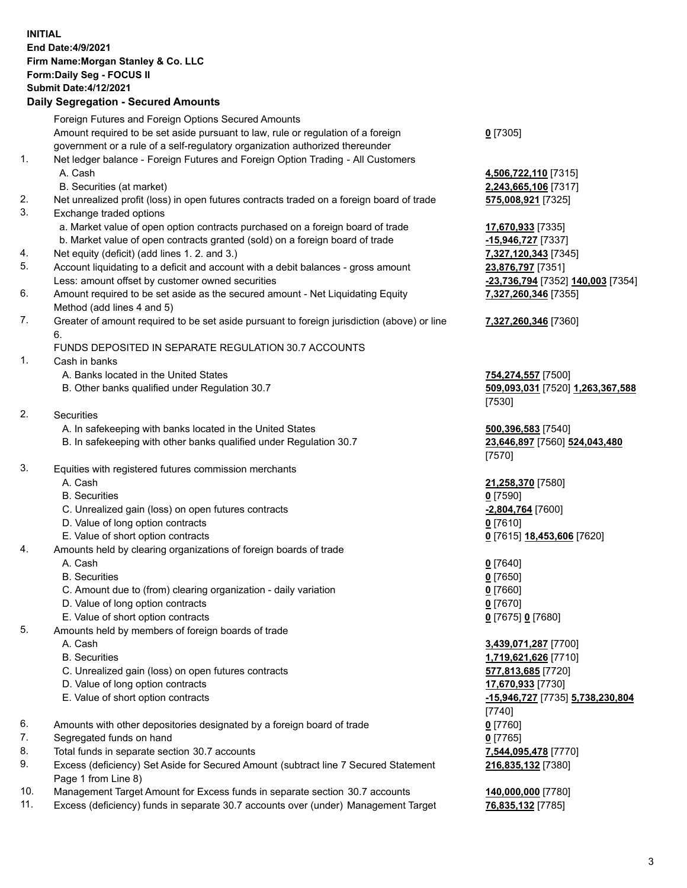## **INITIAL End Date:4/9/2021 Firm Name:Morgan Stanley & Co. LLC Form:Daily Seg - FOCUS II Submit Date:4/12/2021**

## **Daily Segregation - Secured Amounts**

|    | Foreign Futures and Foreign Options Secured Amounts                                                        |                                         |
|----|------------------------------------------------------------------------------------------------------------|-----------------------------------------|
|    | Amount required to be set aside pursuant to law, rule or regulation of a foreign                           | $0$ [7305]                              |
|    | government or a rule of a self-regulatory organization authorized thereunder                               |                                         |
| 1. | Net ledger balance - Foreign Futures and Foreign Option Trading - All Customers                            |                                         |
|    | A. Cash                                                                                                    | 4,506,722,110 [7315]                    |
|    | B. Securities (at market)                                                                                  | 2,243,665,106 [7317]                    |
| 2. | Net unrealized profit (loss) in open futures contracts traded on a foreign board of trade                  | 575,008,921 [7325]                      |
| 3. | Exchange traded options                                                                                    |                                         |
|    | a. Market value of open option contracts purchased on a foreign board of trade                             | 17,670,933 [7335]                       |
|    | b. Market value of open contracts granted (sold) on a foreign board of trade                               | -15,946,727 [7337]                      |
| 4. | Net equity (deficit) (add lines 1. 2. and 3.)                                                              | 7,327,120,343 [7345]                    |
| 5. | Account liquidating to a deficit and account with a debit balances - gross amount                          | 23,876,797 [7351]                       |
|    | Less: amount offset by customer owned securities                                                           | -23,736,794 [7352] 140,003 [7354]       |
| 6. | Amount required to be set aside as the secured amount - Net Liquidating Equity                             | 7,327,260,346 [7355]                    |
|    | Method (add lines 4 and 5)                                                                                 |                                         |
| 7. | Greater of amount required to be set aside pursuant to foreign jurisdiction (above) or line<br>6.          | 7,327,260,346 [7360]                    |
|    | FUNDS DEPOSITED IN SEPARATE REGULATION 30.7 ACCOUNTS                                                       |                                         |
| 1. | Cash in banks                                                                                              |                                         |
|    | A. Banks located in the United States                                                                      | 754,274,557 [7500]                      |
|    | B. Other banks qualified under Regulation 30.7                                                             | 509,093,031 [7520] 1,263,367,588        |
|    |                                                                                                            | [7530]                                  |
| 2. | <b>Securities</b>                                                                                          |                                         |
|    | A. In safekeeping with banks located in the United States                                                  | 500,396,583 [7540]                      |
|    | B. In safekeeping with other banks qualified under Regulation 30.7                                         | 23,646,897 [7560] 524,043,480<br>[7570] |
| 3. | Equities with registered futures commission merchants                                                      |                                         |
|    | A. Cash                                                                                                    | 21,258,370 [7580]                       |
|    | <b>B.</b> Securities                                                                                       | $0$ [7590]                              |
|    | C. Unrealized gain (loss) on open futures contracts                                                        | -2,804,764 [7600]                       |
|    | D. Value of long option contracts                                                                          | $0$ [7610]                              |
|    | E. Value of short option contracts                                                                         | 0 [7615] 18,453,606 [7620]              |
| 4. | Amounts held by clearing organizations of foreign boards of trade                                          |                                         |
|    | A. Cash                                                                                                    | $0$ [7640]                              |
|    | <b>B.</b> Securities                                                                                       | $0$ [7650]                              |
|    | C. Amount due to (from) clearing organization - daily variation                                            | $0$ [7660]                              |
|    | D. Value of long option contracts                                                                          | $0$ [7670]                              |
|    | E. Value of short option contracts                                                                         | 0 [7675] 0 [7680]                       |
| 5. | Amounts held by members of foreign boards of trade                                                         |                                         |
|    | A. Cash                                                                                                    | 3,439,071,287 [7700]                    |
|    | <b>B.</b> Securities                                                                                       | 1,719,621,626 [7710]                    |
|    | C. Unrealized gain (loss) on open futures contracts                                                        | 577,813,685 [7720]                      |
|    | D. Value of long option contracts                                                                          | 17,670,933 [7730]                       |
|    | E. Value of short option contracts                                                                         | -15,946,727 [7735] 5,738,230,804        |
|    |                                                                                                            | $[7740]$                                |
| 6. | Amounts with other depositories designated by a foreign board of trade                                     | $0$ [7760]                              |
| 7. | Segregated funds on hand                                                                                   | $0$ [7765]                              |
| 8. | Total funds in separate section 30.7 accounts                                                              | 7,544,095,478 [7770]                    |
| 9. | Excess (deficiency) Set Aside for Secured Amount (subtract line 7 Secured Statement<br>Page 1 from Line 8) | 216,835,132 [7380]                      |

- 10. Management Target Amount for Excess funds in separate section 30.7 accounts **140,000,000** [7780]
- 11. Excess (deficiency) funds in separate 30.7 accounts over (under) Management Target **76,835,132** [7785]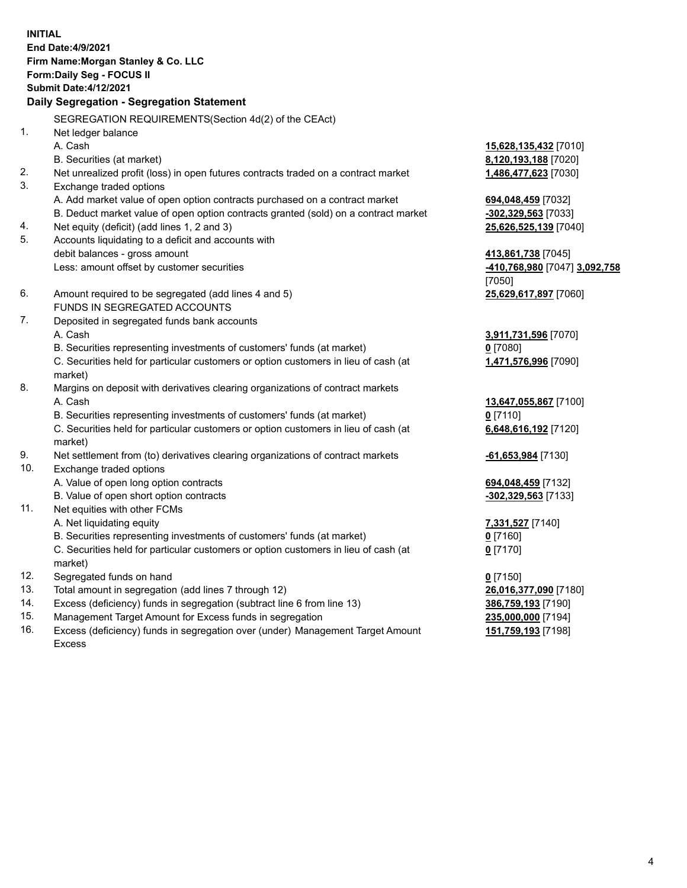**INITIAL End Date:4/9/2021 Firm Name:Morgan Stanley & Co. LLC Form:Daily Seg - FOCUS II Submit Date:4/12/2021 Daily Segregation - Segregation Statement** SEGREGATION REQUIREMENTS(Section 4d(2) of the CEAct) 1. Net ledger balance A. Cash **15,628,135,432** [7010] B. Securities (at market) **8,120,193,188** [7020] 2. Net unrealized profit (loss) in open futures contracts traded on a contract market **1,486,477,623** [7030] 3. Exchange traded options A. Add market value of open option contracts purchased on a contract market **694,048,459** [7032] B. Deduct market value of open option contracts granted (sold) on a contract market **-302,329,563** [7033] 4. Net equity (deficit) (add lines 1, 2 and 3) **25,626,525,139** [7040] 5. Accounts liquidating to a deficit and accounts with debit balances - gross amount **413,861,738** [7045] Less: amount offset by customer securities **-410,768,980** [7047] **3,092,758** [7050] 6. Amount required to be segregated (add lines 4 and 5) **25,629,617,897** [7060] FUNDS IN SEGREGATED ACCOUNTS 7. Deposited in segregated funds bank accounts A. Cash **3,911,731,596** [7070] B. Securities representing investments of customers' funds (at market) **0** [7080] C. Securities held for particular customers or option customers in lieu of cash (at market) **1,471,576,996** [7090] 8. Margins on deposit with derivatives clearing organizations of contract markets A. Cash **13,647,055,867** [7100] B. Securities representing investments of customers' funds (at market) **0** [7110] C. Securities held for particular customers or option customers in lieu of cash (at market) **6,648,616,192** [7120] 9. Net settlement from (to) derivatives clearing organizations of contract markets **-61,653,984** [7130] 10. Exchange traded options A. Value of open long option contracts **694,048,459** [7132] B. Value of open short option contracts **-302,329,563** [7133] 11. Net equities with other FCMs A. Net liquidating equity **7,331,527** [7140] B. Securities representing investments of customers' funds (at market) **0** [7160] C. Securities held for particular customers or option customers in lieu of cash (at market) **0** [7170] 12. Segregated funds on hand **0** [7150] 13. Total amount in segregation (add lines 7 through 12) **26,016,377,090** [7180] 14. Excess (deficiency) funds in segregation (subtract line 6 from line 13) **386,759,193** [7190] 15. Management Target Amount for Excess funds in segregation **235,000,000** [7194]

16. Excess (deficiency) funds in segregation over (under) Management Target Amount Excess

**151,759,193** [7198]